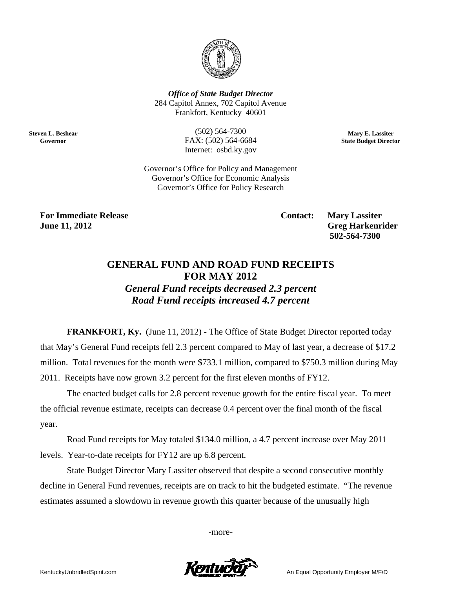

**Office of State Budget Director** 284 Capitol Annex, 702 Capitol Avenue Frankfort, Kentucky 40601

> $(502) 564 - 7300$ FAX: (502) 564-6684 Internet: osbd.ky.gov

Mary E. Lassiter **State Budget Director** 

Governor's Office for Policy and Management Governor's Office for Economic Analysis Governor's Office for Policy Research

**For Immediate Release June 11, 2012** 

**Steven L. Beshear** 

Governor

**Contact:** 

**Mary Lassiter Greg Harkenrider** 502-564-7300

## **GENERAL FUND AND ROAD FUND RECEIPTS FOR MAY 2012 General Fund receipts decreased 2.3 percent** Road Fund receipts increased 4.7 percent

**FRANKFORT, Ky.** (June 11, 2012) - The Office of State Budget Director reported today that May's General Fund receipts fell 2.3 percent compared to May of last year, a decrease of \$17.2 million. Total revenues for the month were \$733.1 million, compared to \$750.3 million during May 2011. Receipts have now grown 3.2 percent for the first eleven months of FY12.

The enacted budget calls for 2.8 percent revenue growth for the entire fiscal year. To meet the official revenue estimate, receipts can decrease 0.4 percent over the final month of the fiscal year.

Road Fund receipts for May totaled \$134.0 million, a 4.7 percent increase over May 2011 levels. Year-to-date receipts for FY12 are up 6.8 percent.

State Budget Director Mary Lassiter observed that despite a second consecutive monthly decline in General Fund revenues, receipts are on track to hit the budgeted estimate. "The revenue estimates assumed a slowdown in revenue growth this quarter because of the unusually high

-more-

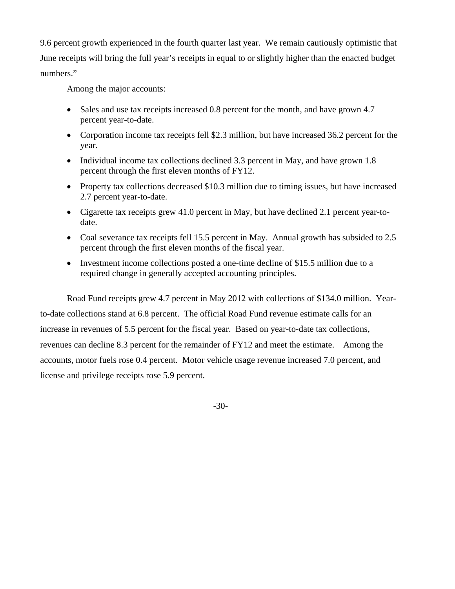9.6 percent growth experienced in the fourth quarter last year. We remain cautiously optimistic that June receipts will bring the full year's receipts in equal to or slightly higher than the enacted budget numbers."

Among the major accounts:

- Sales and use tax receipts increased 0.8 percent for the month, and have grown 4.7 percent year-to-date.
- Corporation income tax receipts fell \$2.3 million, but have increased 36.2 percent for the year.
- Individual income tax collections declined 3.3 percent in May, and have grown 1.8 percent through the first eleven months of FY12.
- Property tax collections decreased \$10.3 million due to timing issues, but have increased 2.7 percent year-to-date.
- Cigarette tax receipts grew 41.0 percent in May, but have declined 2.1 percent year-todate.
- Coal severance tax receipts fell 15.5 percent in May. Annual growth has subsided to 2.5 percent through the first eleven months of the fiscal year.
- Investment income collections posted a one-time decline of \$15.5 million due to a required change in generally accepted accounting principles.

Road Fund receipts grew 4.7 percent in May 2012 with collections of \$134.0 million. Yearto-date collections stand at 6.8 percent. The official Road Fund revenue estimate calls for an increase in revenues of 5.5 percent for the fiscal year. Based on year-to-date tax collections, revenues can decline 8.3 percent for the remainder of FY12 and meet the estimate. Among the accounts, motor fuels rose 0.4 percent. Motor vehicle usage revenue increased 7.0 percent, and license and privilege receipts rose 5.9 percent.

-30-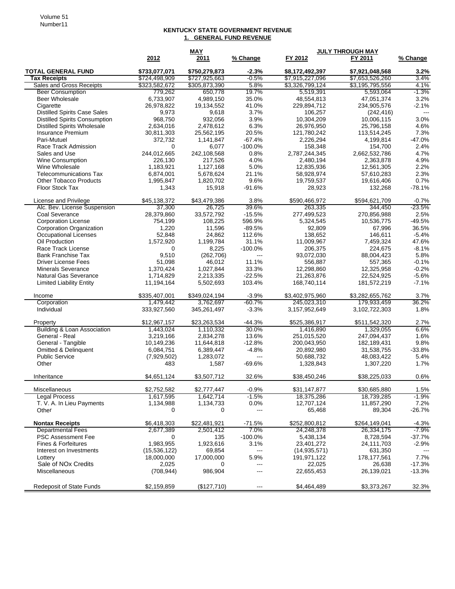## **KENTUCKY STATE GOVERNMENT REVENUE 1. GENERAL FUND REVENUE**

|                                                  |                                | <b>MAY</b>                     |                                                                                                                                                                                                                                                                                                                                                                                              | <b>JULY THROUGH MAY</b>            |                                    |                 |
|--------------------------------------------------|--------------------------------|--------------------------------|----------------------------------------------------------------------------------------------------------------------------------------------------------------------------------------------------------------------------------------------------------------------------------------------------------------------------------------------------------------------------------------------|------------------------------------|------------------------------------|-----------------|
|                                                  | 2012                           | 2011                           | % Change                                                                                                                                                                                                                                                                                                                                                                                     | FY 2012                            | FY 2011                            | % Change        |
| <b>TOTAL GENERAL FUND</b><br><b>Tax Receipts</b> | \$733,077,071<br>\$724,498,909 | \$750,279,873<br>\$727,925,663 | $-2.3%$<br>$-0.5%$                                                                                                                                                                                                                                                                                                                                                                           | \$8,172,492,397<br>\$7,915,227,096 | \$7,921,048,568<br>\$7,653,526,260 | $3.2\%$<br>3.4% |
| Sales and Gross Receipts                         | \$323,582,672                  | \$305,873,390                  | 5.8%                                                                                                                                                                                                                                                                                                                                                                                         | \$3,326,799,124                    | \$3,195,795,556                    | 4.1%            |
| <b>Beer Consumption</b>                          | 779,262                        | 650,778                        | 19.7%                                                                                                                                                                                                                                                                                                                                                                                        | 5,519,391                          | 5,593,064                          | $-1.3%$         |
| <b>Beer Wholesale</b>                            | 6,733,907                      | 4,989,150                      | 35.0%                                                                                                                                                                                                                                                                                                                                                                                        | 48,554,813                         | 47,051,374                         | 3.2%            |
| Cigarette                                        | 26,978,822                     | 19,134,552                     | 41.0%                                                                                                                                                                                                                                                                                                                                                                                        | 229,894,712                        | 234,905,576                        | $-2.1%$         |
| <b>Distilled Spirits Case Sales</b>              | 9,973                          | 9,618                          | 3.7%                                                                                                                                                                                                                                                                                                                                                                                         | 106,257                            | (242, 416)                         | $--$            |
| <b>Distilled Spirits Consumption</b>             | 968,750                        | 932,056                        | 3.9%                                                                                                                                                                                                                                                                                                                                                                                         | 10,304,209                         | 10,006,115                         | 3.0%            |
| <b>Distilled Spirits Wholesale</b>               | 2,634,016                      | 2,478,612                      | 6.3%                                                                                                                                                                                                                                                                                                                                                                                         | 26,976,950                         | 25,796,158                         | 4.6%            |
| Insurance Premium                                | 30,811,303                     | 25,562,195                     | 20.5%                                                                                                                                                                                                                                                                                                                                                                                        | 121,780,242                        | 113,514,245                        | 7.3%            |
| Pari-Mutuel                                      | 372,732                        | 1,141,847                      | $-67.4%$                                                                                                                                                                                                                                                                                                                                                                                     | 2,226,294                          | 4,199,814                          | $-47.0%$        |
| Race Track Admission                             | 0                              | 6,077                          | $-100.0%$                                                                                                                                                                                                                                                                                                                                                                                    | 158,348                            | 154,700                            | 2.4%            |
| Sales and Use                                    | 244,012,665                    | 242,108,568                    | 0.8%                                                                                                                                                                                                                                                                                                                                                                                         | 2,787,244,345                      | 2,662,532,786                      | 4.7%            |
| Wine Consumption                                 | 226,130                        | 217,526                        | 4.0%                                                                                                                                                                                                                                                                                                                                                                                         | 2,480,194                          | 2,363,878                          | 4.9%            |
| Wine Wholesale                                   | 1,183,921                      | 1,127,168                      | 5.0%                                                                                                                                                                                                                                                                                                                                                                                         | 12,835,936                         | 12,561,305                         | 2.2%            |
| <b>Telecommunications Tax</b>                    | 6,874,001                      | 5,678,624                      | 21.1%                                                                                                                                                                                                                                                                                                                                                                                        | 58,928,974                         | 57,610,283                         | 2.3%            |
| <b>Other Tobacco Products</b>                    | 1,995,847                      | 1,820,702                      | 9.6%                                                                                                                                                                                                                                                                                                                                                                                         | 19,759,537                         | 19,616,406                         | 0.7%            |
| Floor Stock Tax                                  | 1,343                          | 15,918                         | $-91.6%$                                                                                                                                                                                                                                                                                                                                                                                     | 28,923                             | 132,268                            | $-78.1%$        |
| License and Privilege                            | \$45,138,372                   | \$43,479,386                   | 3.8%                                                                                                                                                                                                                                                                                                                                                                                         | \$590,466,972                      | \$594,621,709                      | $-0.7%$         |
| Alc. Bev. License Suspension                     | 37,300                         | 26,725                         | 39.6%                                                                                                                                                                                                                                                                                                                                                                                        | 263,335                            | 344.450                            | $-23.5%$        |
| Coal Severance                                   | 28,379,860                     | 33,572,792                     | $-15.5%$                                                                                                                                                                                                                                                                                                                                                                                     | 277,499,523                        | 270,856,988                        | 2.5%            |
| <b>Corporation License</b>                       | 754,199                        | 108,225                        | 596.9%                                                                                                                                                                                                                                                                                                                                                                                       | 5,324,545                          | 10,536,775                         | $-49.5%$        |
| <b>Corporation Organization</b>                  | 1,220                          | 11,596                         | $-89.5%$                                                                                                                                                                                                                                                                                                                                                                                     | 92,809                             | 67,996                             | 36.5%           |
| <b>Occupational Licenses</b>                     | 52,848                         | 24,862                         | 112.6%                                                                                                                                                                                                                                                                                                                                                                                       | 138,652                            | 146,611                            | $-5.4%$         |
| Oil Production                                   | 1,572,920                      | 1,199,784                      | 31.1%                                                                                                                                                                                                                                                                                                                                                                                        | 11,009,967                         | 7,459,324                          | 47.6%           |
| Race Track License                               | 0                              | 8,225                          | $-100.0\%$                                                                                                                                                                                                                                                                                                                                                                                   | 206,375                            | 224,675                            | $-8.1%$         |
| <b>Bank Franchise Tax</b>                        | 9,510                          | (262, 706)                     | $\frac{1}{2} \frac{1}{2} \frac{1}{2} \frac{1}{2} \frac{1}{2} \frac{1}{2} \frac{1}{2} \frac{1}{2} \frac{1}{2} \frac{1}{2} \frac{1}{2} \frac{1}{2} \frac{1}{2} \frac{1}{2} \frac{1}{2} \frac{1}{2} \frac{1}{2} \frac{1}{2} \frac{1}{2} \frac{1}{2} \frac{1}{2} \frac{1}{2} \frac{1}{2} \frac{1}{2} \frac{1}{2} \frac{1}{2} \frac{1}{2} \frac{1}{2} \frac{1}{2} \frac{1}{2} \frac{1}{2} \frac{$ | 93,072,030                         | 88,004,423                         | 5.8%            |
| <b>Driver License Fees</b>                       | 51,098                         | 46,012                         | 11.1%                                                                                                                                                                                                                                                                                                                                                                                        | 556,887                            | 557,365                            | $-0.1%$         |
| <b>Minerals Severance</b>                        | 1,370,424                      | 1,027,844                      | 33.3%                                                                                                                                                                                                                                                                                                                                                                                        | 12,298,860                         | 12,325,958                         | $-0.2%$         |
| Natural Gas Severance                            | 1,714,829                      | 2,213,335                      | $-22.5%$                                                                                                                                                                                                                                                                                                                                                                                     | 21,263,876                         | 22,524,925                         | $-5.6%$         |
| <b>Limited Liability Entity</b>                  | 11,194,164                     | 5,502,693                      | 103.4%                                                                                                                                                                                                                                                                                                                                                                                       | 168,740,114                        | 181,572,219                        | $-7.1%$         |
| Income                                           | \$335,407,001                  | \$349,024,194                  | $-3.9%$                                                                                                                                                                                                                                                                                                                                                                                      | \$3,402,975,960                    | \$3,282,655,762                    | 3.7%            |
| Corporation                                      | 1,479,442                      | 3,762,697                      | $-60.7%$                                                                                                                                                                                                                                                                                                                                                                                     | 245,023,310                        | 179,933,459                        | 36.2%           |
| Individual                                       | 333,927,560                    | 345,261,497                    | $-3.3%$                                                                                                                                                                                                                                                                                                                                                                                      | 3,157,952,649                      | 3,102,722,303                      | 1.8%            |
| Property                                         | \$12,967,157                   | \$23,263,534                   | $-44.3%$                                                                                                                                                                                                                                                                                                                                                                                     | \$525,386,917                      | \$511,542,320                      | 2.7%            |
| Building & Loan Association                      | 1,443,024                      | 1,110,332                      | 30.0%                                                                                                                                                                                                                                                                                                                                                                                        | 1,416,890                          | 1,329,055                          | 6.6%            |
| General - Real                                   | 3,219,166                      | 2,834,278                      | 13.6%                                                                                                                                                                                                                                                                                                                                                                                        | 251,015,520                        | 247,094,437                        | 1.6%            |
| General - Tangible                               | 10,149,236                     | 11,644,818                     | $-12.8%$                                                                                                                                                                                                                                                                                                                                                                                     | 200,043,950                        | 182,189,431                        | 9.8%            |
| Omitted & Delinquent                             | 6,084,751                      | 6,389,447                      | $-4.8%$                                                                                                                                                                                                                                                                                                                                                                                      | 20,892,980                         | 31,538,755                         | $-33.8%$        |
| <b>Public Service</b>                            | (7,929,502)                    | 1,283,072                      | $---$                                                                                                                                                                                                                                                                                                                                                                                        | 50,688,732                         | 48,083,422                         | 5.4%            |
| Other                                            | 483                            | 1,587                          | $-69.6%$                                                                                                                                                                                                                                                                                                                                                                                     | 1,328,843                          | 1,307,220                          | 1.7%            |
| Inheritance                                      | \$4.651.124                    | \$3,507,712                    | 32.6%                                                                                                                                                                                                                                                                                                                                                                                        | \$38,450,246                       | \$38,225,033                       | 0.6%            |
| Miscellaneous                                    | \$2,752,582                    | \$2,777,447                    | $-0.9%$                                                                                                                                                                                                                                                                                                                                                                                      | \$31,147,877                       | \$30,685,880                       | 1.5%            |
| <b>Legal Process</b>                             | 1,617,595                      | 1,642,714                      | $-1.5%$                                                                                                                                                                                                                                                                                                                                                                                      | 18,375,286                         | 18,739,285                         | $-1.9%$         |
| T. V. A. In Lieu Payments                        | 1,134,988                      | 1,134,733                      | 0.0%                                                                                                                                                                                                                                                                                                                                                                                         | 12,707,124                         | 11,857,290                         | 7.2%            |
| Other                                            | 0                              | 0                              | $\frac{1}{2} \frac{1}{2} \frac{1}{2} \frac{1}{2} \frac{1}{2} \frac{1}{2} \frac{1}{2} \frac{1}{2} \frac{1}{2} \frac{1}{2} \frac{1}{2} \frac{1}{2} \frac{1}{2} \frac{1}{2} \frac{1}{2} \frac{1}{2} \frac{1}{2} \frac{1}{2} \frac{1}{2} \frac{1}{2} \frac{1}{2} \frac{1}{2} \frac{1}{2} \frac{1}{2} \frac{1}{2} \frac{1}{2} \frac{1}{2} \frac{1}{2} \frac{1}{2} \frac{1}{2} \frac{1}{2} \frac{$ | 65,468                             | 89,304                             | $-26.7%$        |
| <b>Nontax Receipts</b>                           | \$6,418,303                    | \$22,481,921                   | $-71.5%$                                                                                                                                                                                                                                                                                                                                                                                     | \$252,800,812                      | \$264,149,041                      | $-4.3%$         |
| <b>Departmental Fees</b>                         | 2,677,389                      | 2,501,412                      | 7.0%                                                                                                                                                                                                                                                                                                                                                                                         | 24,248,378                         | 26,334,175                         | -7.9%           |
| <b>PSC Assessment Fee</b>                        | 0                              | 135                            | $-100.0%$                                                                                                                                                                                                                                                                                                                                                                                    | 5,438,134                          | 8,728,594                          | -37.7%          |
| Fines & Forfeitures                              | 1,983,955                      | 1,923,616                      | 3.1%                                                                                                                                                                                                                                                                                                                                                                                         | 23,401,272                         | 24,111,703                         | $-2.9%$         |
| Interest on Investments                          | (15, 536, 122)                 | 69,854                         | ---                                                                                                                                                                                                                                                                                                                                                                                          | (14, 935, 571)                     | 631,350                            |                 |
| Lottery                                          | 18,000,000                     | 17,000,000                     | 5.9%                                                                                                                                                                                                                                                                                                                                                                                         | 191, 971, 122                      | 178, 177, 561                      | 7.7%            |
| Sale of NO <sub>x</sub> Credits                  | 2,025                          | 0                              | $\qquad \qquad -\qquad -$                                                                                                                                                                                                                                                                                                                                                                    | 22,025                             | 26,638                             | $-17.3%$        |
| Miscellaneous                                    | (708, 944)                     | 986,904                        | $---$                                                                                                                                                                                                                                                                                                                                                                                        | 22,655,453                         | 26,139,021                         | $-13.3%$        |
| Redeposit of State Funds                         | \$2,159,859                    | (\$127,710)                    | $\hspace{0.05cm} \ldots$                                                                                                                                                                                                                                                                                                                                                                     | \$4,464,489                        | \$3,373,267                        | 32.3%           |